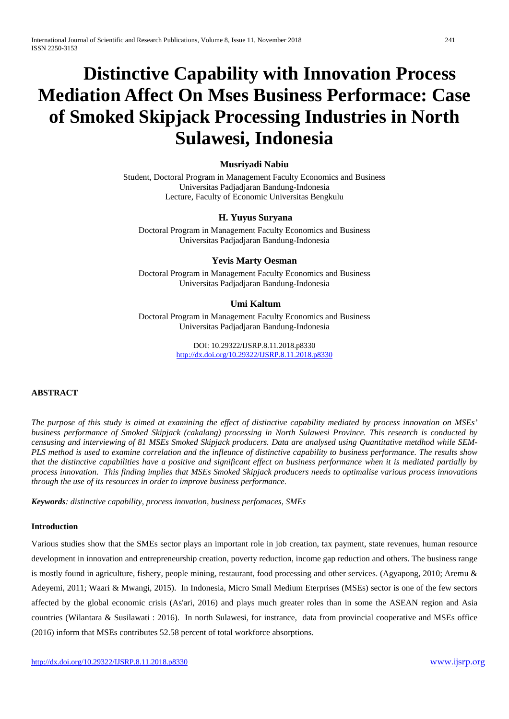# **Distinctive Capability with Innovation Process Mediation Affect On Mses Business Performace: Case of Smoked Skipjack Processing Industries in North Sulawesi, Indonesia**

# **Musriyadi Nabiu**

Student, Doctoral Program in Management Faculty Economics and Business Universitas Padjadjaran Bandung-Indonesia Lecture, Faculty of Economic Universitas Bengkulu

# **H. Yuyus Suryana**

Doctoral Program in Management Faculty Economics and Business Universitas Padjadjaran Bandung-Indonesia

# **Yevis Marty Oesman**

Doctoral Program in Management Faculty Economics and Business Universitas Padjadjaran Bandung-Indonesia

# **Umi Kaltum**

Doctoral Program in Management Faculty Economics and Business Universitas Padjadjaran Bandung-Indonesia

> DOI: 10.29322/IJSRP.8.11.2018.p8330 <http://dx.doi.org/10.29322/IJSRP.8.11.2018.p8330>

# **ABSTRACT**

*The purpose of this study is aimed at examining the effect of distinctive capability mediated by process innovation on MSEs' business performance of Smoked Skipjack (cakalang) processing in North Sulawesi Province. This research is conducted by censusing and interviewing of 81 MSEs Smoked Skipjack producers. Data are analysed using Quantitative metdhod while SEM-PLS method is used to examine correlation and the infleunce of distinctive capability to business performance. The results show that the distinctive capabilities have a positive and significant effect on business performance when it is mediated partially by process innovation. This finding implies that MSEs Smoked Skipjack producers needs to optimalise various process innovations through the use of its resources in order to improve business performance.*

*Keywords: distinctive capability, process inovation, business perfomaces, SMEs* 

## **Introduction**

Various studies show that the SMEs sector plays an important role in job creation, tax payment, state revenues, human resource development in innovation and entrepreneurship creation, poverty reduction, income gap reduction and others. The business range is mostly found in agriculture, fishery, people mining, restaurant, food processing and other services. (Agyapong, 2010; Aremu & Adeyemi, 2011; Waari & Mwangi, 2015). In Indonesia, Micro Small Medium Eterprises (MSEs) sector is one of the few sectors affected by the global economic crisis (As'ari, 2016) and plays much greater roles than in some the ASEAN region and Asia countries (Wilantara & Susilawati : 2016). In north Sulawesi, for instrance, data from provincial cooperative and MSEs office (2016) inform that MSEs contributes 52.58 percent of total workforce absorptions.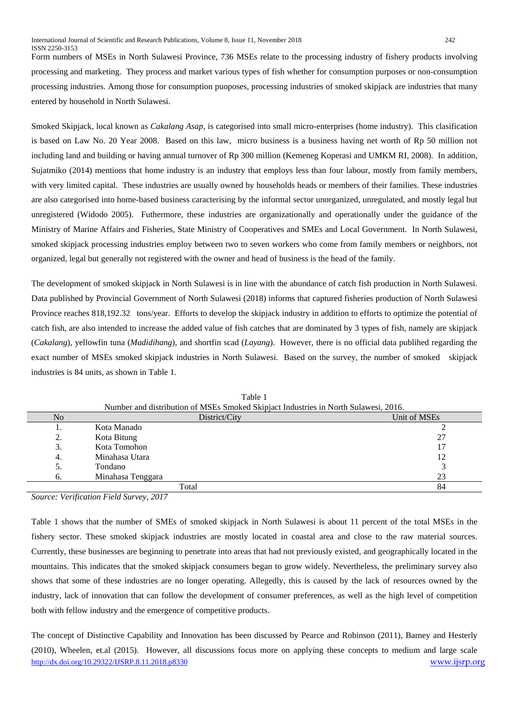Form numbers of MSEs in North Sulawesi Province, 736 MSEs relate to the processing industry of fishery products involving processing and marketing. They process and market various types of fish whether for consumption purposes or non-consumption processing industries. Among those for consumption puoposes, processing industries of smoked skipjack are industries that many entered by household in North Sulawesi.

Smoked Skipjack, local known as *Cakalang Asap*, is categorised into small micro-enterprises (home industry). This clasification is based on Law No. 20 Year 2008. Based on this law, micro business is a business having net worth of Rp 50 million not including land and building or having annual turnover of Rp 300 million (Kemeneg Koperasi and UMKM RI, 2008). In addition, Sujatmiko (2014) mentions that home industry is an industry that employs less than four labour, mostly from family members, with very limited capital. These industries are usually owned by households heads or members of their families. These industries are also categorised into home-based business caracterising by the informal sector unorganized, unregulated, and mostly legal but unregistered (Widodo 2005). Futhermore, these industries are organizationally and operationally under the guidance of the Ministry of Marine Affairs and Fisheries, State Ministry of Cooperatives and SMEs and Local Government. In North Sulawesi, smoked skipjack processing industries employ between two to seven workers who come from family members or neighbors, not organized, legal but generally not registered with the owner and head of business is the head of the family.

The development of smoked skipjack in North Sulawesi is in line with the abundance of catch fish production in North Sulawesi. Data published by Provincial Government of North Sulawesi (2018) informs that captured fisheries production of North Sulawesi Province reaches 818,192.32 tons/year. Efforts to develop the skipjack industry in addition to efforts to optimize the potential of catch fish, are also intended to increase the added value of fish catches that are dominated by 3 types of fish, namely are skipjack (*Cakalang*), yellowfin tuna (*Madidihang*), and shortfin scad (*Layang*). However, there is no official data publihed regarding the exact number of MSEs smoked skipjack industries in North Sulawesi. Based on the survey, the number of smoked skipjack industries is 84 units, as shown in Table 1.

| TVULTION and distribution of MISES SHOKED SKIPFACE INDUSTRIES IN TWITH SURAWEST, 2010. |                   |              |  |  |
|----------------------------------------------------------------------------------------|-------------------|--------------|--|--|
| N <sub>o</sub>                                                                         | District/City     | Unit of MSEs |  |  |
|                                                                                        | Kota Manado       |              |  |  |
| 2.                                                                                     | Kota Bitung       | 27           |  |  |
| 3.                                                                                     | Kota Tomohon      |              |  |  |
| 4.                                                                                     | Minahasa Utara    | 12           |  |  |
| 5.                                                                                     | Tondano           |              |  |  |
| 6.                                                                                     | Minahasa Tenggara | 23           |  |  |
|                                                                                        | Total             | 84           |  |  |

Table 1 Number and distribution of MSEs Smoked Skipjact Industries in North Sulawesi, 2016.

*Source: Verification Field Survey, 2017*

Table 1 shows that the number of SMEs of smoked skipjack in North Sulawesi is about 11 percent of the total MSEs in the fishery sector. These smoked skipjack industries are mostly located in coastal area and close to the raw material sources. Currently, these businesses are beginning to penetrate into areas that had not previously existed, and geographically located in the mountains. This indicates that the smoked skipjack consumers began to grow widely. Nevertheless, the preliminary survey also shows that some of these industries are no longer operating. Allegedly, this is caused by the lack of resources owned by the industry, lack of innovation that can follow the development of consumer preferences, as well as the high level of competition both with fellow industry and the emergence of competitive products.

<http://dx.doi.org/10.29322/IJSRP.8.11.2018.p8330> [www.ijsrp.org](http://ijsrp.org/) The concept of Distinctive Capability and Innovation has been discussed by Pearce and Robinson (2011), Barney and Hesterly (2010), Wheelen, et.al (2015). However, all discussions focus more on applying these concepts to medium and large scale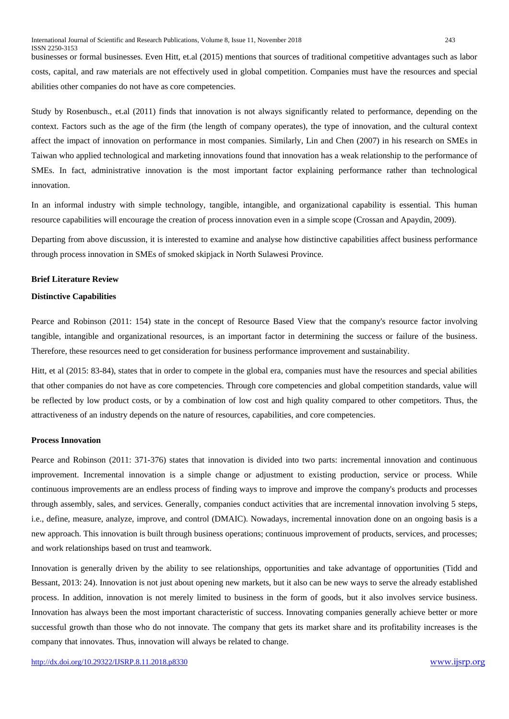businesses or formal businesses. Even Hitt, et.al (2015) mentions that sources of traditional competitive advantages such as labor costs, capital, and raw materials are not effectively used in global competition. Companies must have the resources and special abilities other companies do not have as core competencies.

Study by Rosenbusch., et.al (2011) finds that innovation is not always significantly related to performance, depending on the context. Factors such as the age of the firm (the length of company operates), the type of innovation, and the cultural context affect the impact of innovation on performance in most companies. Similarly, Lin and Chen (2007) in his research on SMEs in Taiwan who applied technological and marketing innovations found that innovation has a weak relationship to the performance of SMEs. In fact, administrative innovation is the most important factor explaining performance rather than technological innovation.

In an informal industry with simple technology, tangible, intangible, and organizational capability is essential. This human resource capabilities will encourage the creation of process innovation even in a simple scope (Crossan and Apaydin, 2009).

Departing from above discussion, it is interested to examine and analyse how distinctive capabilities affect business performance through process innovation in SMEs of smoked skipjack in North Sulawesi Province.

## **Brief Literature Review**

# **Distinctive Capabilities**

Pearce and Robinson (2011: 154) state in the concept of Resource Based View that the company's resource factor involving tangible, intangible and organizational resources, is an important factor in determining the success or failure of the business. Therefore, these resources need to get consideration for business performance improvement and sustainability.

Hitt, et al (2015: 83-84), states that in order to compete in the global era, companies must have the resources and special abilities that other companies do not have as core competencies. Through core competencies and global competition standards, value will be reflected by low product costs, or by a combination of low cost and high quality compared to other competitors. Thus, the attractiveness of an industry depends on the nature of resources, capabilities, and core competencies.

#### **Process Innovation**

Pearce and Robinson (2011: 371-376) states that innovation is divided into two parts: incremental innovation and continuous improvement. Incremental innovation is a simple change or adjustment to existing production, service or process. While continuous improvements are an endless process of finding ways to improve and improve the company's products and processes through assembly, sales, and services. Generally, companies conduct activities that are incremental innovation involving 5 steps, i.e., define, measure, analyze, improve, and control (DMAIC). Nowadays, incremental innovation done on an ongoing basis is a new approach. This innovation is built through business operations; continuous improvement of products, services, and processes; and work relationships based on trust and teamwork.

Innovation is generally driven by the ability to see relationships, opportunities and take advantage of opportunities (Tidd and Bessant, 2013: 24). Innovation is not just about opening new markets, but it also can be new ways to serve the already established process. In addition, innovation is not merely limited to business in the form of goods, but it also involves service business. Innovation has always been the most important characteristic of success. Innovating companies generally achieve better or more successful growth than those who do not innovate. The company that gets its market share and its profitability increases is the company that innovates. Thus, innovation will always be related to change.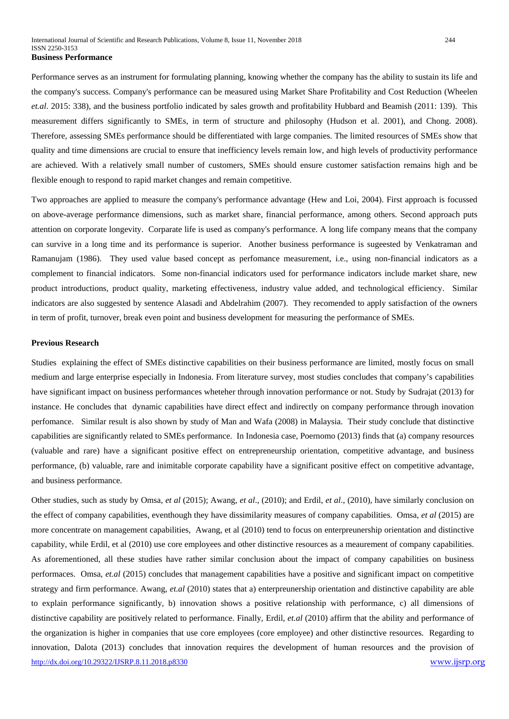Performance serves as an instrument for formulating planning, knowing whether the company has the ability to sustain its life and the company's success. Company's performance can be measured using Market Share Profitability and Cost Reduction (Wheelen *et.al*. 2015: 338), and the business portfolio indicated by sales growth and profitability Hubbard and Beamish (2011: 139). This measurement differs significantly to SMEs, in term of structure and philosophy (Hudson et al. 2001), and Chong. 2008). Therefore, assessing SMEs performance should be differentiated with large companies. The limited resources of SMEs show that quality and time dimensions are crucial to ensure that inefficiency levels remain low, and high levels of productivity performance are achieved. With a relatively small number of customers, SMEs should ensure customer satisfaction remains high and be flexible enough to respond to rapid market changes and remain competitive.

Two approaches are applied to measure the company's performance advantage (Hew and Loi, 2004). First approach is focussed on above-average performance dimensions, such as market share, financial performance, among others. Second approach puts attention on corporate longevity. Corparate life is used as company's performance. A long life company means that the company can survive in a long time and its performance is superior. Another business performance is sugeested by Venkatraman and Ramanujam (1986). They used value based concept as perfomance measurement, i.e., using non-financial indicators as a complement to financial indicators. Some non-financial indicators used for performance indicators include market share, new product introductions, product quality, marketing effectiveness, industry value added, and technological efficiency. Similar indicators are also suggested by sentence Alasadi and Abdelrahim (2007). They recomended to apply satisfaction of the owners in term of profit, turnover, break even point and business development for measuring the performance of SMEs.

## **Previous Research**

Studies explaining the effect of SMEs distinctive capabilities on their business performance are limited, mostly focus on small medium and large enterprise especially in Indonesia. From literature survey, most studies concludes that company's capabilities have significant impact on business performances wheteher through innovation performance or not. Study by Sudrajat (2013) for instance. He concludes that dynamic capabilities have direct effect and indirectly on company performance through inovation perfomance. Similar result is also shown by study of Man and Wafa (2008) in Malaysia. Their study conclude that distinctive capabilities are significantly related to SMEs performance. In Indonesia case, Poernomo (2013) finds that (a) company resources (valuable and rare) have a significant positive effect on entrepreneurship orientation, competitive advantage, and business performance, (b) valuable, rare and inimitable corporate capability have a significant positive effect on competitive advantage, and business performance.

<http://dx.doi.org/10.29322/IJSRP.8.11.2018.p8330> [www.ijsrp.org](http://ijsrp.org/) Other studies, such as study by Omsa, *et al* (2015); Awang, *et al*., (2010); and Erdil, *et al*., (2010), have similarly conclusion on the effect of company capabilities, eventhough they have dissimilarity measures of company capabilities. Omsa, *et al* (2015) are more concentrate on management capabilities, Awang, et al (2010) tend to focus on enterpreunership orientation and distinctive capability, while Erdil, et al (2010) use core employees and other distinctive resources as a meaurement of company capabilities. As aforementioned, all these studies have rather similar conclusion about the impact of company capabilities on business performaces. Omsa, *et.al* (2015) concludes that management capabilities have a positive and significant impact on competitive strategy and firm performance. Awang, *et.al* (2010) states that a) enterpreunership orientation and distinctive capability are able to explain performance significantly, b) innovation shows a positive relationship with performance, c) all dimensions of distinctive capability are positively related to performance. Finally, Erdil, *et.al* (2010) affirm that the ability and performance of the organization is higher in companies that use core employees (core employee) and other distinctive resources. Regarding to innovation, Dalota (2013) concludes that innovation requires the development of human resources and the provision of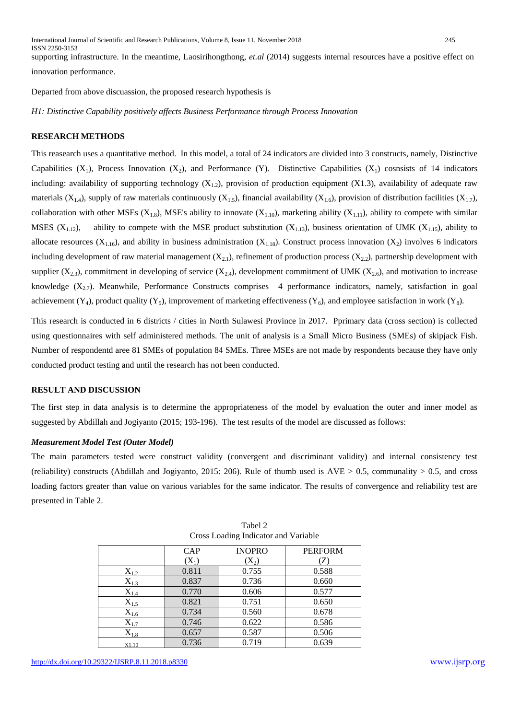supporting infrastructure. In the meantime, Laosirihongthong, *et.al* (2014) suggests internal resources have a positive effect on innovation performance.

Departed from above discuassion, the proposed research hypothesis is

*H1: Distinctive Capability positively affects Business Performance through Process Innovation*

# **RESEARCH METHODS**

This reasearch uses a quantitative method. In this model, a total of 24 indicators are divided into 3 constructs, namely, Distinctive Capabilities  $(X_1)$ , Process Innovation  $(X_2)$ , and Performance  $(Y)$ . Distinctive Capabilities  $(X_1)$  cosnsists of 14 indicators including: availability of supporting technology  $(X_{1,2})$ , provision of production equipment  $(X1.3)$ , availability of adequate raw materials (X<sub>1.4</sub>), supply of raw materials continuously (X<sub>1.5</sub>), financial availability (X<sub>1.6</sub>), provision of distribution facilities (X<sub>1.7</sub>), collaboration with other MSEs ( $X_{1,8}$ ), MSE's ability to innovate ( $X_{1,10}$ ), marketing ability ( $X_{1,11}$ ), ability to compete with similar MSES  $(X_{1,12})$ , ability to compete with the MSE product substitution  $(X_{1,13})$ , business orientation of UMK  $(X_{1,15})$ , ability to allocate resources  $(X_{1.16})$ , and ability in business administration  $(X_{1.18})$ . Construct process innovation  $(X_2)$  involves 6 indicators including development of raw material management  $(X_{2,1})$ , refinement of production process  $(X_{2,2})$ , partnership development with supplier  $(X_{2,3})$ , commitment in developing of service  $(X_{2,4})$ , development commitment of UMK  $(X_{2,6})$ , and motivation to increase knowledge  $(X_{2,7})$ . Meanwhile, Performance Constructs comprises 4 performance indicators, namely, satisfaction in goal achievement (Y<sub>4</sub>), product quality (Y<sub>5</sub>), improvement of marketing effectiveness (Y<sub>6</sub>), and employee satisfaction in work (Y<sub>8</sub>).

This research is conducted in 6 districts / cities in North Sulawesi Province in 2017. Pprimary data (cross section) is collected using questionnaires with self administered methods. The unit of analysis is a Small Micro Business (SMEs) of skipjack Fish. Number of respondentd aree 81 SMEs of population 84 SMEs. Three MSEs are not made by respondents because they have only conducted product testing and until the research has not been conducted.

## **RESULT AND DISCUSSION**

The first step in data analysis is to determine the appropriateness of the model by evaluation the outer and inner model as suggested by Abdillah and Jogiyanto (2015; 193-196). The test results of the model are discussed as follows:

## *Measurement Model Test (Outer Model)*

The main parameters tested were construct validity (convergent and discriminant validity) and internal consistency test (reliability) constructs (Abdillah and Jogiyanto, 2015: 206). Rule of thumb used is  $AVE > 0.5$ , communality  $> 0.5$ , and cross loading factors greater than value on various variables for the same indicator. The results of convergence and reliability test are presented in Table 2.

|                    | <b>CAP</b> | <b>INOPRO</b> | <b>PERFORM</b> |
|--------------------|------------|---------------|----------------|
|                    | $(X_1)$    | $(X_2)$       | Z              |
| $X_{1.2}$          | 0.811      | 0.755         | 0.588          |
| $X_{1.3}$          | 0.837      | 0.736         | 0.660          |
| $X_{1.4}$          | 0.770      | 0.606         | 0.577          |
| $X_{1.5}$          | 0.821      | 0.751         | 0.650          |
| $X_{1.6}$          | 0.734      | 0.560         | 0.678          |
| $X_{1.7}$          | 0.746      | 0.622         | 0.586          |
| $\mathrm{X}_{1.8}$ | 0.657      | 0.587         | 0.506          |
| X1.10              | 0.736      | 0.719         | 0.639          |

Tabel 2 Cross Loading Indicator and Variable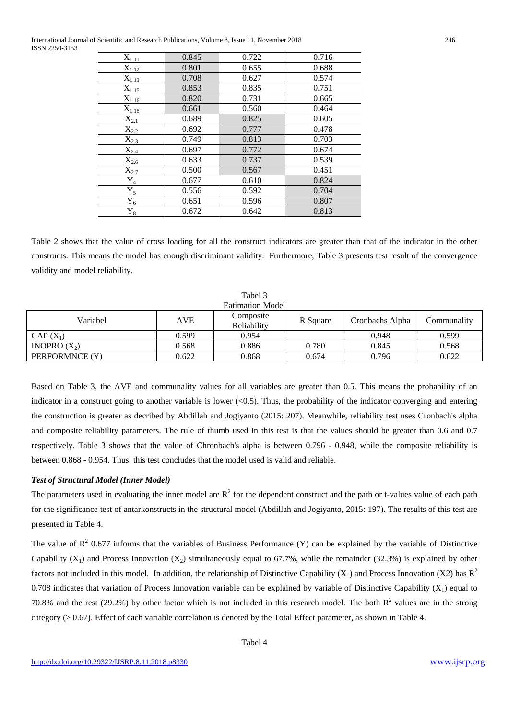International Journal of Scientific and Research Publications, Volume 8, Issue 11, November 2018 246 ISSN 2250-3153

| $X_{1.11}$  | 0.845 | 0.722 | 0.716 |
|-------------|-------|-------|-------|
| $X_{1.12}$  | 0.801 | 0.655 | 0.688 |
| $X_{1.13}$  | 0.708 | 0.627 | 0.574 |
| $X_{1.15}$  | 0.853 | 0.835 | 0.751 |
| $X_{1.16}$  | 0.820 | 0.731 | 0.665 |
| $X_{1.18}$  | 0.661 | 0.560 | 0.464 |
| $X_{2.1}$   | 0.689 | 0.825 | 0.605 |
| $X_{2,2}$   | 0.692 | 0.777 | 0.478 |
| $X_{2.3}$   | 0.749 | 0.813 | 0.703 |
| $X_{2.4}$   | 0.697 | 0.772 | 0.674 |
| $X_{2.6}$   | 0.633 | 0.737 | 0.539 |
| $X_{2.7}$   | 0.500 | 0.567 | 0.451 |
| $Y_4$       | 0.677 | 0.610 | 0.824 |
| $Y_5$       | 0.556 | 0.592 | 0.704 |
| $Y_6$       | 0.651 | 0.596 | 0.807 |
| ${\rm Y}_8$ | 0.672 | 0.642 | 0.813 |

Table 2 shows that the value of cross loading for all the construct indicators are greater than that of the indicator in the other constructs. This means the model has enough discriminant validity. Furthermore, Table 3 presents test result of the convergence validity and model reliability.

| Tabel 3                 |       |                          |          |                 |             |  |  |
|-------------------------|-------|--------------------------|----------|-----------------|-------------|--|--|
| <b>Eatimation Model</b> |       |                          |          |                 |             |  |  |
| Variabel                | AVE   | Composite<br>Reliability | R Square | Cronbachs Alpha | Communality |  |  |
| $CAP(X_1)$              | 0.599 | 0.954                    |          | 0.948           | 0.599       |  |  |
| INOPRO $(X_2)$          | 0.568 | 0.886                    | 0.780    | 0.845           | 0.568       |  |  |
| PERFORMNCE (Y)          | 0.622 | 0.868                    | 0.674    | 0.796           | 0.622       |  |  |

Based on Table 3, the AVE and communality values for all variables are greater than 0.5. This means the probability of an indicator in a construct going to another variable is lower  $( $0.5$ ). Thus, the probability of the indicator converging and entering$ the construction is greater as decribed by Abdillah and Jogiyanto (2015: 207). Meanwhile, reliability test uses Cronbach's alpha and composite reliability parameters. The rule of thumb used in this test is that the values should be greater than 0.6 and 0.7 respectively. Table 3 shows that the value of Chronbach's alpha is between 0.796 - 0.948, while the composite reliability is between 0.868 - 0.954. Thus, this test concludes that the model used is valid and reliable.

# *Test of Structural Model (Inner Model)*

The parameters used in evaluating the inner model are  $R^2$  for the dependent construct and the path or t-values value of each path for the significance test of antarkonstructs in the structural model (Abdillah and Jogiyanto, 2015: 197). The results of this test are presented in Table 4.

The value of  $R^2$  0.677 informs that the variables of Business Performance (Y) can be explained by the variable of Distinctive Capability  $(X_1)$  and Process Innovation  $(X_2)$  simultaneously equal to 67.7%, while the remainder (32.3%) is explained by other factors not included in this model. In addition, the relationship of Distinctive Capability  $(X_1)$  and Process Innovation  $(X_2)$  has  $\mathbb{R}^2$ 0.708 indicates that variation of Process Innovation variable can be explained by variable of Distinctive Capability  $(X_1)$  equal to 70.8% and the rest (29.2%) by other factor which is not included in this research model. The both  $R^2$  values are in the strong category (> 0.67). Effect of each variable correlation is denoted by the Total Effect parameter, as shown in Table 4.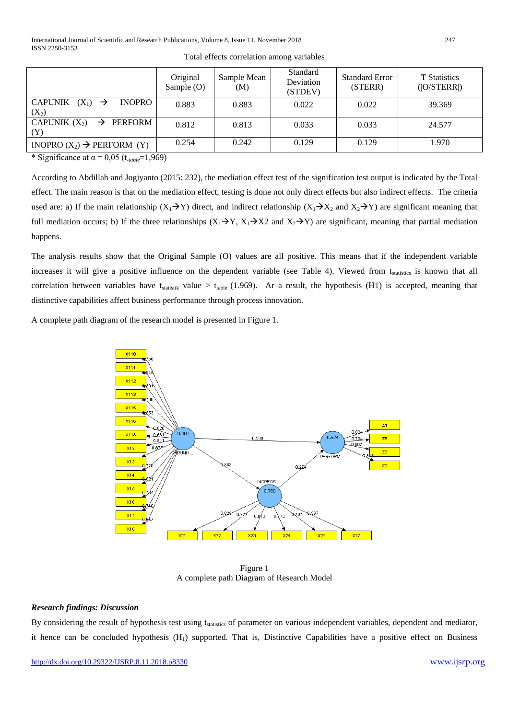|                                                                   | Original<br>Sample $(O)$ | Sample Mean<br>(M) | <b>Standard</b><br>Deviation<br>(STDEV) | <b>Standard Error</b><br>(STERR) | <b>T</b> Statistics<br>( O/STERR ) |
|-------------------------------------------------------------------|--------------------------|--------------------|-----------------------------------------|----------------------------------|------------------------------------|
| <b>CAPUNIK</b><br>$(X_1) \rightarrow$<br><b>INOPRO</b><br>$(X_2)$ | 0.883                    | 0.883              | 0.022                                   | 0.022                            | 39.369                             |
| CAPUNIK $(X_2)$<br>$\rightarrow$ PERFORM                          | 0.812                    | 0.813              | 0.033                                   | 0.033                            | 24.577                             |
| INOPRO $(X_2) \rightarrow$ PERFORM $(Y)$                          | 0.254                    | 0.242              | 0.129                                   | 0.129                            | 1.970                              |

Total effects correlation among variables

\* Significance at  $\alpha$  = 0,05 (t<sub>-table</sub>=1,969)

According to Abdillah and Jogiyanto (2015: 232), the mediation effect test of the signification test output is indicated by the Total effect. The main reason is that on the mediation effect, testing is done not only direct effects but also indirect effects. The criteria used are: a) If the main relationship  $(X_1 \rightarrow Y)$  direct, and indirect relationship  $(X_1 \rightarrow X_2$  and  $X_2 \rightarrow Y)$  are significant meaning that full mediation occurs; b) If the three relationships  $(X_1 \rightarrow Y, X_1 \rightarrow X_2)$  and  $X_2 \rightarrow Y$  are significant, meaning that partial mediation happens.

The analysis results show that the Original Sample (O) values are all positive. This means that if the independent variable increases it will give a positive influence on the dependent variable (see Table 4). Viewed from t<sub>statistics</sub> is known that all correlation between variables have  $t_{statistik}$  value >  $t_{table}$  (1.969). Ar a result, the hypothesis (H1) is accepted, meaning that distinctive capabilities affect business performance through process innovation.

A complete path diagram of the research model is presented in Figure 1.



Figure 1 A complete path Diagram of Research Model

# *Research findings: Discussion*

By considering the result of hypothesis test using t<sub>statistics</sub> of parameter on various independent variables, dependent and mediator, it hence can be concluded hypothesis  $(H_1)$  supported. That is, Distinctive Capabilities have a positive effect on Business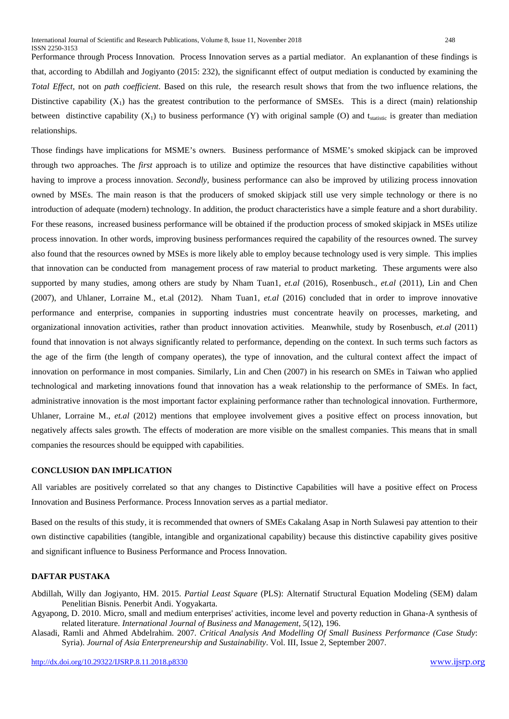Performance through Process Innovation. Process Innovation serves as a partial mediator. An explanantion of these findings is that, according to Abdillah and Jogiyanto (2015: 232), the significannt effect of output mediation is conducted by examining the *Total Effect*, not on *path coefficient*. Based on this rule, the research result shows that from the two influence relations, the Distinctive capability  $(X_1)$  has the greatest contribution to the performance of SMSEs. This is a direct (main) relationship between distinctive capability  $(X_1)$  to business performance  $(Y)$  with original sample  $(O)$  and t<sub>statistic</sub> is greater than mediation relationships.

Those findings have implications for MSME's owners. Business performance of MSME's smoked skipjack can be improved through two approaches. The *first* approach is to utilize and optimize the resources that have distinctive capabilities without having to improve a process innovation. *Secondly*, business performance can also be improved by utilizing process innovation owned by MSEs. The main reason is that the producers of smoked skipjack still use very simple technology or there is no introduction of adequate (modern) technology. In addition, the product characteristics have a simple feature and a short durability. For these reasons, increased business performance will be obtained if the production process of smoked skipjack in MSEs utilize process innovation. In other words, improving business performances required the capability of the resources owned. The survey also found that the resources owned by MSEs is more likely able to employ because technology used is very simple. This implies that innovation can be conducted from management process of raw material to product marketing. These arguments were also supported by many studies, among others are study by Nham Tuan1, *et.al* (2016), Rosenbusch., *et.al* (2011), Lin and Chen (2007), and Uhlaner, Lorraine M., et.al (2012). Nham Tuan1, *et.al* (2016) concluded that in order to improve innovative performance and enterprise, companies in supporting industries must concentrate heavily on processes, marketing, and organizational innovation activities, rather than product innovation activities. Meanwhile, study by Rosenbusch, *et.al* (2011) found that innovation is not always significantly related to performance, depending on the context. In such terms such factors as the age of the firm (the length of company operates), the type of innovation, and the cultural context affect the impact of innovation on performance in most companies. Similarly, Lin and Chen (2007) in his research on SMEs in Taiwan who applied technological and marketing innovations found that innovation has a weak relationship to the performance of SMEs. In fact, administrative innovation is the most important factor explaining performance rather than technological innovation. Furthermore, Uhlaner, Lorraine M., *et.al* (2012) mentions that employee involvement gives a positive effect on process innovation, but negatively affects sales growth. The effects of moderation are more visible on the smallest companies. This means that in small companies the resources should be equipped with capabilities.

# **CONCLUSION DAN IMPLICATION**

All variables are positively correlated so that any changes to Distinctive Capabilities will have a positive effect on Process Innovation and Business Performance. Process Innovation serves as a partial mediator.

Based on the results of this study, it is recommended that owners of SMEs Cakalang Asap in North Sulawesi pay attention to their own distinctive capabilities (tangible, intangible and organizational capability) because this distinctive capability gives positive and significant influence to Business Performance and Process Innovation.

# **DAFTAR PUSTAKA**

Abdillah, Willy dan Jogiyanto, HM. 2015. *Partial Least Square* (PLS): Alternatif Structural Equation Modeling (SEM) dalam Penelitian Bisnis. Penerbit Andi. Yogyakarta.

Agyapong, D. 2010. Micro, small and medium enterprises' activities, income level and poverty reduction in Ghana-A synthesis of related literature. *International Journal of Business and Management*, *5*(12), 196.

Alasadi, Ramli and Ahmed Abdelrahim. 2007. *Critical Analysis And Modelling Of Small Business Performance (Case Study*: Syria). *Journal of Asia Enterpreneurship and Sustainability*. Vol. III, Issue 2, September 2007.